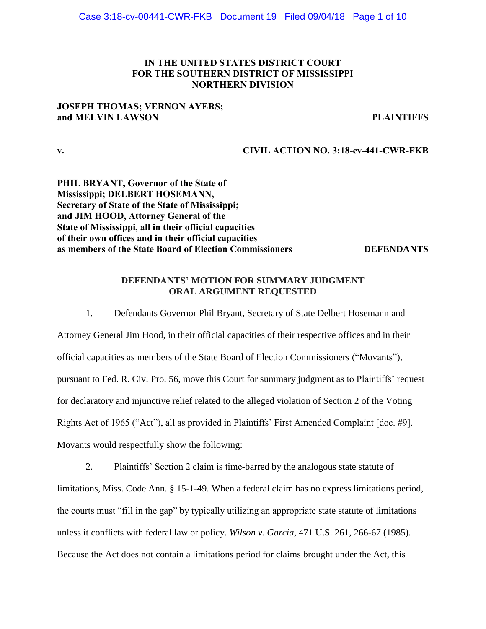## IN THE UNITED STATES DISTRICT COURT FOR THE SOUTHERN DISTRICT OF MISSISSIPPI NORTHERN DIVISION

## **JOSEPH THOMAS: VERNON AYERS:** and MELVIN LAWSON **Example 20** PLAINTIFFS

v. CIVIL ACTION NO. 3:18-cv-441-CWR-FKB

PHIL BRYANT, Governor of the State of Mississippi; DELBERT HOSEMANN, Secretary of State of the State of Mississippi; and JIM HOOD, Attorney General of the State of Mississippi, all in their official capacities of their own offices and in their official capacities as members of the State Board of Election Commissioners **DEFENDANTS** 

## DEFENDANTS' MOTION FOR SUMMARY JUDGMENT **ORAL ARGUMENT REQUESTED**

1. Defendants Governor Phil Bryant, Secretary of State Delbert Hosemann and Attorney General Jim Hood, in their official capacities of their respective offices and in their official capacities as members of the State Board of Election Commissioners ("Movants"), pursuant to Fed. R. Civ. Pro. 56, move this Court for summary judgment as to Plaintiffs' request for declaratory and injunctive relief related to the alleged violation of Section 2 of the Voting Rights Act of 1965 ("Act"), all as provided in Plaintiffs' First Amended Complaint [doc. #9]. Movants would respectfully show the following:

2. Plaintiffs' Section 2 claim is time-barred by the analogous state statute of limitations, Miss. Code Ann. § 15-1-49. When a federal claim has no express limitations period, the courts must "fill in the gap" by typically utilizing an appropriate state statute of limitations unless it conflicts with federal law or policy. *Wilson v. Garcia*, 471 U.S. 261, 266-67 (1985). Because the Act does not contain a limitations period for claims brought under the Act, this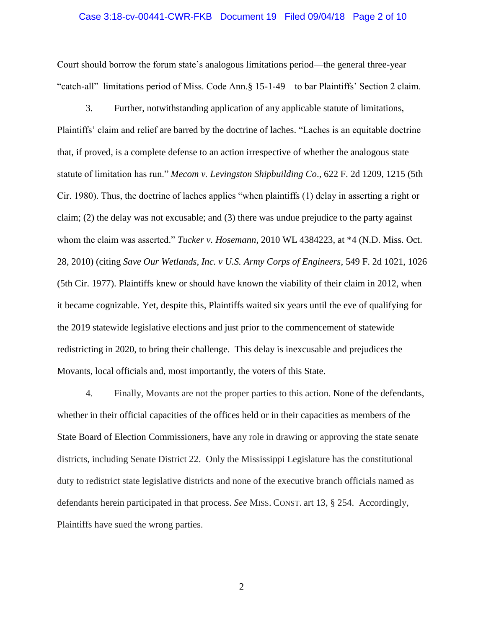#### Case 3:18-cv-00441-CWR-FKB Document 19 Filed 09/04/18 Page 2 of 10

Court should borrow the forum state's analogous limitations period—the general three-year "catch-all" limitations period of Miss. Code Ann.§ 15-1-49—to bar Plaintiffs' Section 2 claim.

3. Further, notwithstanding application of any applicable statute of limitations, Plaintiffs' claim and relief are barred by the doctrine of laches. "Laches is an equitable doctrine that, if proved, is a complete defense to an action irrespective of whether the analogous state statute of limitation has run." *Mecom v. Levingston Shipbuilding Co.*, 622 F. 2d 1209, 1215 (5th Cir. 1980). Thus, the doctrine of laches applies "when plaintiffs  $(1)$  delay in asserting a right or claim; (2) the delay was not excusable; and (3) there was undue prejudice to the party against whom the claim was asserted." *Tucker v. Hosemann*, 2010 WL 4384223, at \*4 (N.D. Miss. Oct. 28, 2010) (citing *Save Our Wetlands, Inc. v U.S. Army Corps of Engineers*, 549 F. 2d 1021, 1026 (5th Cir. 1977). Plaintiffs knew or should have known the viability of their claim in 2012, when it became cognizable. Yet, despite this, Plaintiffs waited six years until the eve of qualifying for the 2019 statewide legislative elections and just prior to the commencement of statewide redistricting in 2020, to bring their challenge. This delay is inexcusable and prejudices the Movants, local officials and, most importantly, the voters of this State.

4. Finally, Movants are not the proper parties to this action. None of the defendants, whether in their official capacities of the offices held or in their capacities as members of the State Board of Election Commissioners, have any role in drawing or approving the state senate districts, including Senate District 22. Only the Mississippi Legislature has the constitutional duty to redistrict state legislative districts and none of the executive branch officials named as defendants herein participated in that process. *See* MISS. CONST. art 13, § 254. Accordingly, Plaintiffs have sued the wrong parties.

2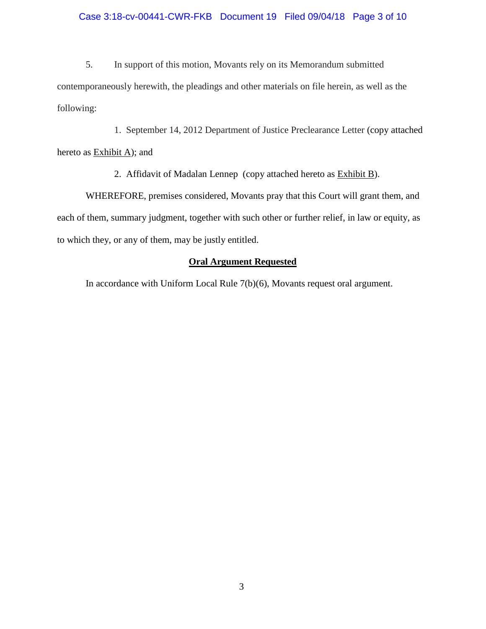### Case 3:18-cv-00441-CWR-FKB Document 19 Filed 09/04/18 Page 3 of 10

5. In support of this motion, Movants rely on its Memorandum submitted contemporaneously herewith, the pleadings and other materials on file herein, as well as the following:

1. September 14, 2012 Department of Justice Preclearance Letter (copy attached hereto as  $Exhibit A$ ; and

2. Affidavit of Madalan Lennep (copy attached hereto as Exhibit B).

WHEREFORE, premises considered, Movants pray that this Court will grant them, and each of them, summary judgment, together with such other or further relief, in law or equity, as to which they, or any of them, may be justly entitled.

## **Oral Argument Requested**

In accordance with Uniform Local Rule 7(b)(6), Movants request oral argument.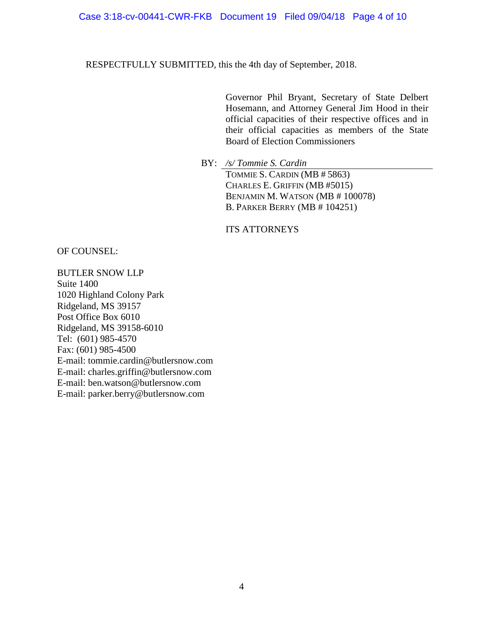### Case 3:18-cv-00441-CWR-FKB Document 19 Filed 09/04/18 Page 4 of 10

RESPECTFULLY SUBMITTED, this the 4th day of September, 2018.

Governor Phil Bryant, Secretary of State Delbert Hosemann, and Attorney General Jim Hood in their official capacities of their respective offices and in their official capacities as members of the State Board of Election Commissioners

BY: */s/ Tommie S. Cardin*

TOMMIE S. CARDIN (MB # 5863) CHARLES E. GRIFFIN (MB #5015) BENJAMIN M. WATSON (MB # 100078) B. PARKER BERRY (MB # 104251)

ITS ATTORNEYS

OF COUNSEL:

BUTLER SNOW LLP Suite 1400 1020 Highland Colony Park Ridgeland, MS 39157 Post Office Box 6010 Ridgeland, MS 39158-6010 Tel: (601) 985-4570 Fax: (601) 985-4500 E-mail: tommie.cardin@butlersnow.com E-mail: charles.griffin@butlersnow.com E-mail: ben.watson@butlersnow.com E-mail: parker.berry@butlersnow.com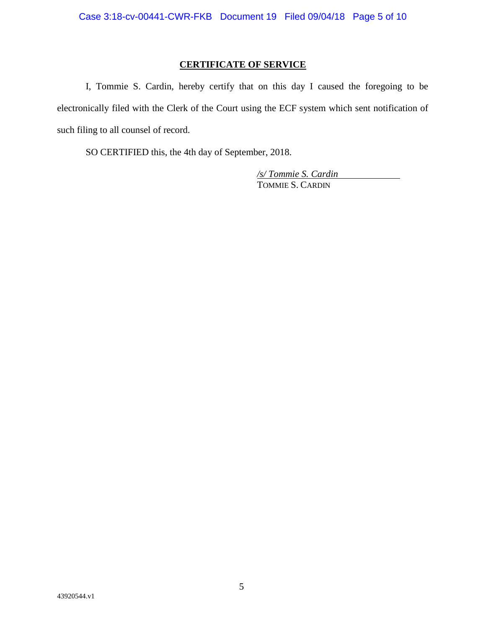# **CERTIFICATE OF SERVICE**

I, Tommie S. Cardin, hereby certify that on this day I caused the foregoing to be electronically filed with the Clerk of the Court using the ECF system which sent notification of such filing to all counsel of record.

SO CERTIFIED this, the 4th day of September, 2018.

*/s/ Tommie S. Cardin* TOMMIE S. CARDIN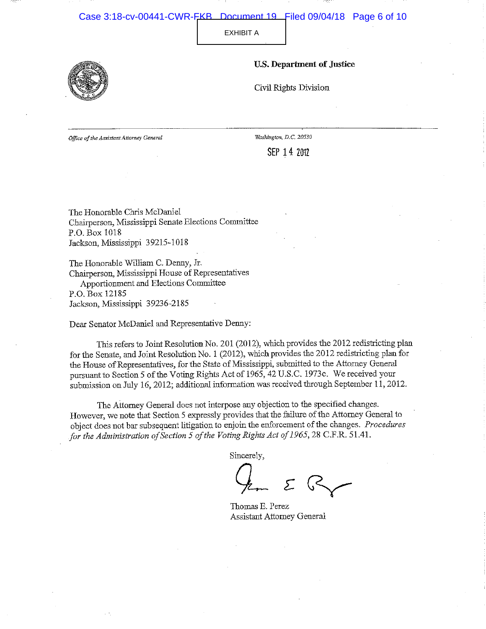#### Case 3:18-cv-00441-CWR-FKB Document 19 Filed 09/04/18 Page 6 of 10

**EXHIBIT A** 

**U.S. Department of Justice** 



Civil Rights Division

Office of the Assistant Attorney General

Washington, D.C. 20530

SEP 14 2012

The Honorable Chris McDaniel Chairperson, Mississippi Senate Elections Committee P.O. Box 1018 Jackson, Mississippi 39215-1018

The Honorable William C. Denny, Jr. Chairperson, Mississippi House of Representatives Apportionment and Elections Committee P.O. Box 12185

Jackson, Mississippi 39236-2185

Dear Senator McDaniel and Representative Denny:

This refers to Joint Resolution No. 201 (2012), which provides the 2012 redistricting plan for the Senate, and Joint Resolution No. 1 (2012), which provides the 2012 redistricting plan for the House of Representatives, for the State of Mississippi, submitted to the Attorney General pursuant to Section 5 of the Voting Rights Act of 1965, 42 U.S.C. 1973c. We received your submission on July 16, 2012; additional information was received through September 11, 2012.

The Attorney General does not interpose any objection to the specified changes. However, we note that Section 5 expressly provides that the failure of the Attorney General to object does not bar subsequent litigation to enjoin the enforcement of the changes. Procedures for the Administration of Section 5 of the Voting Rights Act of 1965, 28 C.F.R. 51.41.

Sincerely,

Thomas E. Perez Assistant Attorney General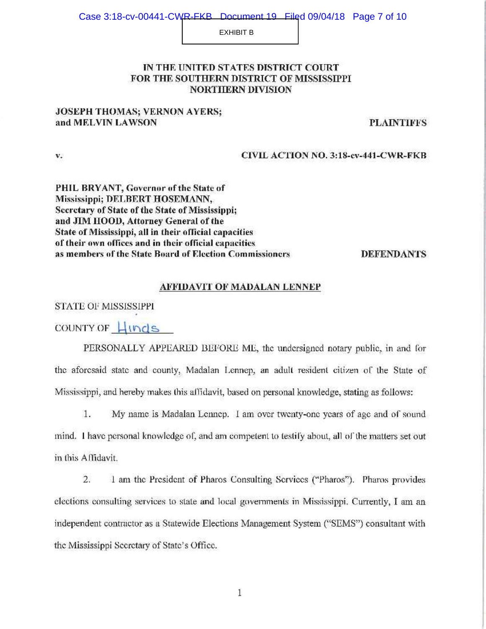#### Case 3:18-cv-00441-CWR-EKB Document 19 Filed 09/04/18 Page 7 of 10

**EXHIBIT B** 

### IN THE UNITED STATES DISTRICT COURT FOR THE SOUTHERN DISTRICT OF MISSISSIPPI **NORTHERN DIVISION**

## **JOSEPH THOMAS; VERNON AYERS;** and MELVIN LAWSON

**PLAINTIFFS** 

**CIVIL ACTION NO. 3:18-cv-441-CWR-FKB** 

PHIL BRYANT, Governor of the State of Mississippi; DELBERT HOSEMANN, Secretary of State of the State of Mississippi; and JIM HOOD, Attorney General of the State of Mississippi, all in their official capacities of their own offices and in their official capacities as members of the State Board of Election Commissioners

**DEFENDANTS** 

### AFFIDAVIT OF MADALAN LENNEP

STATE OF MISSISSIPPI

v,

COUNTY OF HINDS

PERSONALLY APPEARED BEFORE ME, the undersigned notary public, in and for the aforesaid state and county, Madalan Lennep, an adult resident citizen of the State of Mississippi, and hereby makes this affidavit, based on personal knowledge, stating as follows:

1. My name is Madalan Lennep. I am over twenty-one years of age and of sound mind. I have personal knowledge of, and am competent to testify about, all of the matters set out in this Affidavit.

 $\overline{2}$ . 1 am the President of Pharos Consulting Services ("Pharos"). Pharos provides elections consulting services to state and local governments in Mississippi. Currently, I am an independent contractor as a Statewide Elections Management System ("SEMS") consultant with the Mississippi Secretary of State's Office.

 $\mathbf{1}$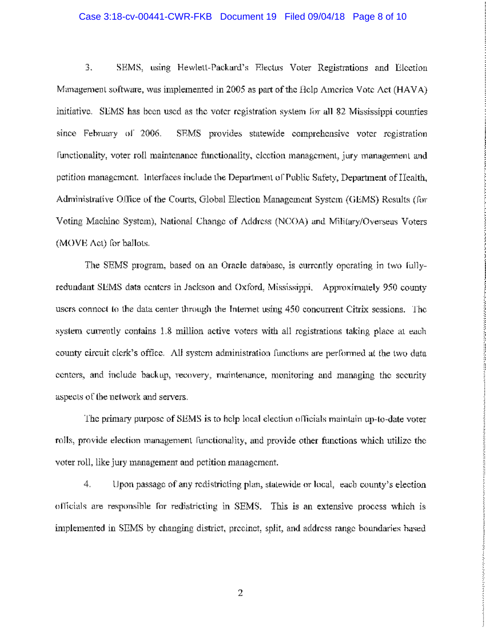### Case 3:18-cv-00441-CWR-FKB Document 19 Filed 09/04/18 Page 8 of 10

3. SEMS, using Hewlett-Packard's Electus Voter Registrations and Election Management software, was implemented in 2005 as part of the Help America Vote Act (HAVA) initiative. SEMS has been used as the voter registration system for all 82 Mississippi counties since February of 2006. SEMS provides statewide comprehensive voter registration functionality, voter roll maintenance functionality, election management, jury management and petition management. Interfaces include the Department of Public Safety, Department of Health, Administrative Office of the Courts, Global Election Management System (GEMS) Results (for Voting Machine System), National Change of Address (NCOA) and Military/Overseas Voters (MOVE Act) for ballots.

The SEMS program, based on an Oracle database, is currently operating in two fullyredundant SEMS data centers in Jackson and Oxford, Mississippi, Approximately 950 county users connect to the data center through the Internet using 450 concurrent Citrix sessions. The system currently contains 1.8 million active voters with all registrations taking place at each county circuit clerk's office. All system administration functions are performed at the two data centers, and include backup, recovery, maintenance, monitoring and managing the security aspects of the network and servers.

The primary purpose of SEMS is to help local election officials maintain up-to-date voter rolls, provide election management functionality, and provide other functions which utilize the voter roll, like jury management and petition management.

4. Upon passage of any redistricting plan, statewide or local, each county's election officials are responsible for redistricting in SEMS. This is an extensive process which is implemented in SEMS by changing district, precinct, split, and address range boundaries based

2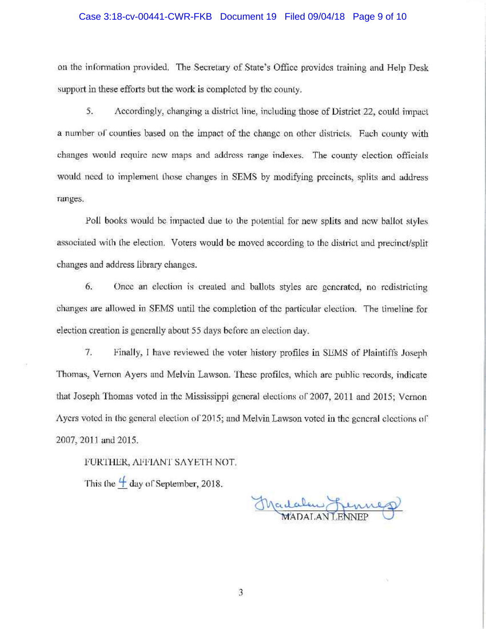### Case 3:18-cv-00441-CWR-FKB Document 19 Filed 09/04/18 Page 9 of 10

on the information provided. The Secretary of State's Office provides training and Help Desk support in these efforts but the work is completed by the county.

5. Accordingly, changing a district line, including those of District 22, could impact a number of counties based on the impact of the change on other districts. Each county with changes would require new maps and address range indexes. The county election officials would need to implement those changes in SEMS by modifying precincts, splits and address ranges.

Poll books would be impacted due to the potential for new splits and new ballot styles associated with the election. Voters would be moved according to the district and precinct/split changes and address library changes.

6. Once an election is created and ballots styles are generated, no redistricting changes are allowed in SEMS until the completion of the particular election. The timeline for election creation is generally about 55 days before an election day.

7. Finally, I have reviewed the voter history profiles in SEMS of Plaintiffs Joseph Thomas, Vernon Ayers and Melvin Lawson. These profiles, which are public records, indicate that Joseph Thomas voted in the Mississippi general elections of 2007, 2011 and 2015; Vernon Ayers voted in the general election of 2015; and Melvin Lawson voted in the general elections of 2007, 2011 and 2015.

FURTHER, AFFIANT SAYETH NOT.

This the  $\frac{4}{1}$  day of September, 2018.

Madalew Lennes

3